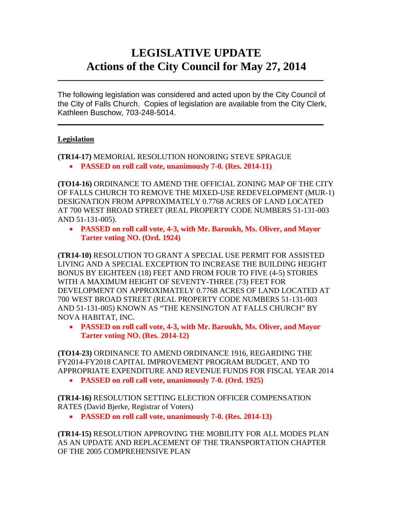# **LEGISLATIVE UPDATE Actions of the City Council for May 27, 2014**

The following legislation was considered and acted upon by the City Council of the City of Falls Church. Copies of legislation are available from the City Clerk, Kathleen Buschow, 703-248-5014.

 $\mathcal{L}_\text{max}$  and  $\mathcal{L}_\text{max}$  and  $\mathcal{L}_\text{max}$  and  $\mathcal{L}_\text{max}$  and  $\mathcal{L}_\text{max}$  and  $\mathcal{L}_\text{max}$ 

 $\mathcal{L}_\text{max}$  and  $\mathcal{L}_\text{max}$  and  $\mathcal{L}_\text{max}$  and  $\mathcal{L}_\text{max}$  and  $\mathcal{L}_\text{max}$  and  $\mathcal{L}_\text{max}$ 

### **Legislation**

**(TR14-17)** MEMORIAL RESOLUTION HONORING STEVE SPRAGUE

• **PASSED on roll call vote, unanimously 7-0. (Res. 2014-11)**

**(TO14-16)** ORDINANCE TO AMEND THE OFFICIAL ZONING MAP OF THE CITY OF FALLS CHURCH TO REMOVE THE MIXED-USE REDEVELOPMENT (MUR-1) DESIGNATION FROM APPROXIMATELY 0.7768 ACRES OF LAND LOCATED AT 700 WEST BROAD STREET (REAL PROPERTY CODE NUMBERS 51-131-003 AND 51-131-005).

• **PASSED on roll call vote, 4-3, with Mr. Baroukh, Ms. Oliver, and Mayor Tarter voting NO. (Ord. 1924)**

**(TR14-10)** RESOLUTION TO GRANT A SPECIAL USE PERMIT FOR ASSISTED LIVING AND A SPECIAL EXCEPTION TO INCREASE THE BUILDING HEIGHT BONUS BY EIGHTEEN (18) FEET AND FROM FOUR TO FIVE (4-5) STORIES WITH A MAXIMUM HEIGHT OF SEVENTY-THREE (73) FEET FOR DEVELOPMENT ON APPROXIMATELY 0.7768 ACRES OF LAND LOCATED AT 700 WEST BROAD STREET (REAL PROPERTY CODE NUMBERS 51-131-003 AND 51-131-005) KNOWN AS "THE KENSINGTON AT FALLS CHURCH" BY NOVA HABITAT, INC.

• **PASSED on roll call vote, 4-3, with Mr. Baroukh, Ms. Oliver, and Mayor Tarter voting NO. (Res. 2014-12)**

**(TO14-23)** ORDINANCE TO AMEND ORDINANCE 1916, REGARDING THE FY2014-FY2018 CAPITAL IMPROVEMENT PROGRAM BUDGET, AND TO APPROPRIATE EXPENDITURE AND REVENUE FUNDS FOR FISCAL YEAR 2014

• **PASSED on roll call vote, unanimously 7-0. (Ord. 1925)**

**(TR14-16)** RESOLUTION SETTING ELECTION OFFICER COMPENSATION RATES (David Bjerke, Registrar of Voters)

• **PASSED on roll call vote, unanimously 7-0. (Res. 2014-13)**

**(TR14-15)** RESOLUTION APPROVING THE MOBILITY FOR ALL MODES PLAN AS AN UPDATE AND REPLACEMENT OF THE TRANSPORTATION CHAPTER OF THE 2005 COMPREHENSIVE PLAN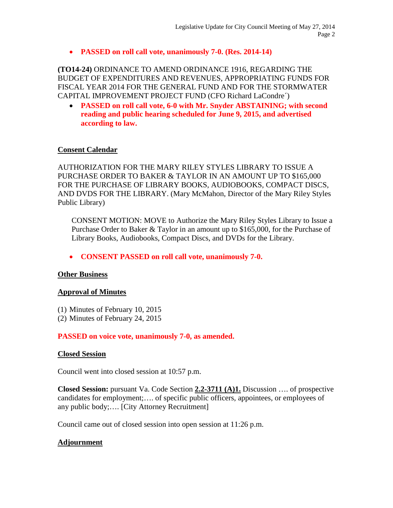• **PASSED on roll call vote, unanimously 7-0. (Res. 2014-14)**

**(TO14-24)** ORDINANCE TO AMEND ORDINANCE 1916, REGARDING THE BUDGET OF EXPENDITURES AND REVENUES, APPROPRIATING FUNDS FOR FISCAL YEAR 2014 FOR THE GENERAL FUND AND FOR THE STORMWATER CAPITAL IMPROVEMENT PROJECT FUND (CFO Richard LaCondre´)

• **PASSED on roll call vote, 6-0 with Mr. Snyder ABSTAINING; with second reading and public hearing scheduled for June 9, 2015, and advertised according to law.**

### **Consent Calendar**

AUTHORIZATION FOR THE MARY RILEY STYLES LIBRARY TO ISSUE A PURCHASE ORDER TO BAKER & TAYLOR IN AN AMOUNT UP TO \$165,000 FOR THE PURCHASE OF LIBRARY BOOKS, AUDIOBOOKS, COMPACT DISCS, AND DVDS FOR THE LIBRARY. (Mary McMahon, Director of the Mary Riley Styles Public Library)

CONSENT MOTION: MOVE to Authorize the Mary Riley Styles Library to Issue a Purchase Order to Baker & Taylor in an amount up to \$165,000, for the Purchase of Library Books, Audiobooks, Compact Discs, and DVDs for the Library.

### • **CONSENT PASSED on roll call vote, unanimously 7-0.**

### **Other Business**

### **Approval of Minutes**

- (1) Minutes of February 10, 2015
- (2) Minutes of February 24, 2015

### **PASSED on voice vote, unanimously 7-0, as amended.**

#### **Closed Session**

Council went into closed session at 10:57 p.m.

**Closed Session:** pursuant Va. Code Section **2.2-3711 (A)1.** Discussion …. of prospective candidates for employment;…. of specific public officers, appointees, or employees of any public body;…. [City Attorney Recruitment]

Council came out of closed session into open session at 11:26 p.m.

### **Adjournment**